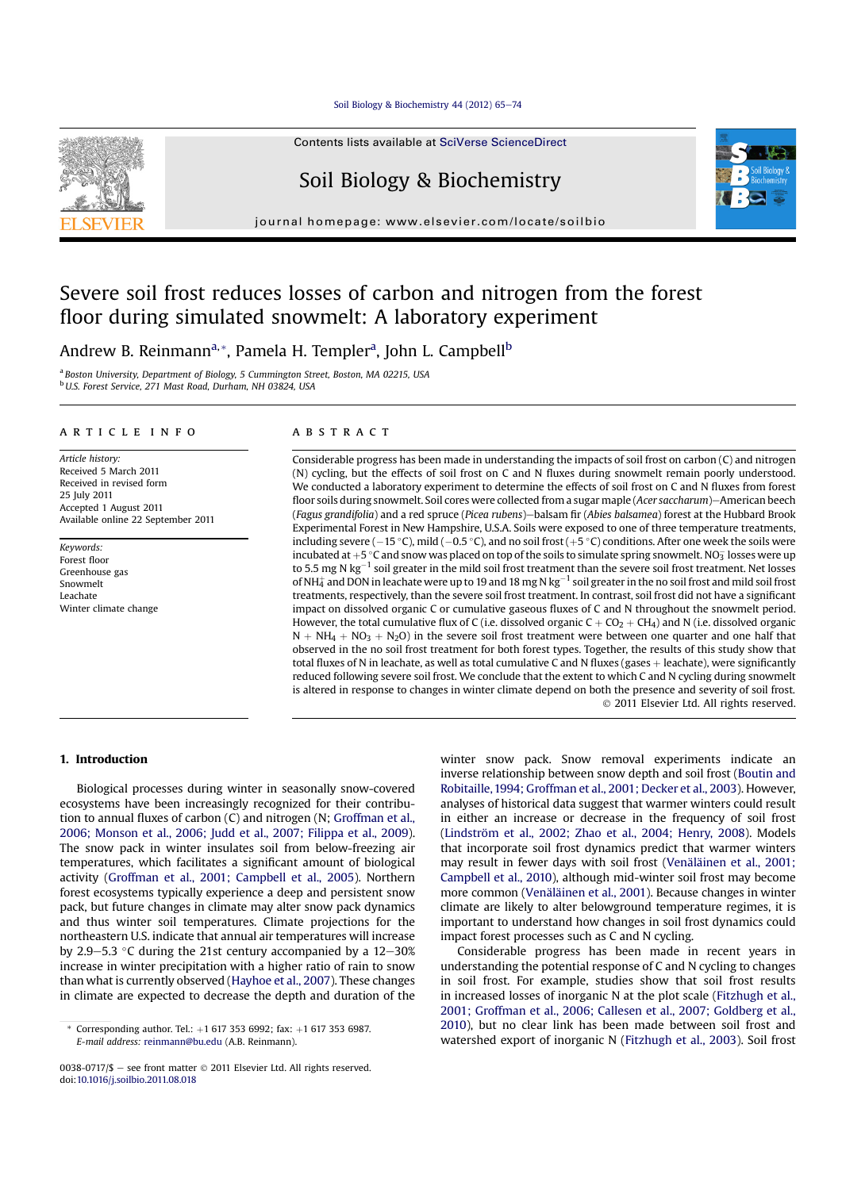Soil Biology & Biochemistry 44 (2012) 65-74

Contents lists available at SciVerse ScienceDirect

# Soil Biology & Biochemistry

journal homepage: www.elsevier.com/locate/soilbio

# Severe soil frost reduces losses of carbon and nitrogen from the forest floor during simulated snowmelt: A laboratory experiment

Andrew B. Reinmann<sup>a,</sup>\*, Pamela H. Templer<sup>a</sup>, John L. Campbell<sup>b</sup>

<sup>a</sup> Boston University, Department of Biology, 5 Cummington Street, Boston, MA 02215, USA <sup>b</sup>U.S. Forest Service, 271 Mast Road, Durham, NH 03824, USA

#### article info

Article history: Received 5 March 2011 Received in revised form 25 July 2011 Accepted 1 August 2011 Available online 22 September 2011

Keywords: Forest floor Greenhouse gas Snowmelt Leachate Winter climate change

## ABSTRACT

Considerable progress has been made in understanding the impacts of soil frost on carbon (C) and nitrogen (N) cycling, but the effects of soil frost on C and N fluxes during snowmelt remain poorly understood. We conducted a laboratory experiment to determine the effects of soil frost on C and N fluxes from forest floor soils during snowmelt. Soil cores were collected from a sugar maple (Acer saccharum)-American beech (Fagus grandifolia) and a red spruce (Picea rubens)–balsam fir (Abies balsamea) forest at the Hubbard Brook Experimental Forest in New Hampshire, U.S.A. Soils were exposed to one of three temperature treatments, including severe ( $-15$  °C), mild ( $-0.5$  °C), and no soil frost ( $+5$  °C) conditions. After one week the soils were incubated at +5  $^{\circ}$ C and snow was placed on top of the soils to simulate spring snowmelt. NO $_{3}^{-}$  losses were up to 5.5 mg N kg<sup>-1</sup> soil greater in the mild soil frost treatment than the severe soil frost treatment. Net losses of NH $_4^+$  and DON in leachate were up to 19 and 18 mg N kg $^{-1}$  soil greater in the no soil frost and mild soil frost treatments, respectively, than the severe soil frost treatment. In contrast, soil frost did not have a significant impact on dissolved organic C or cumulative gaseous fluxes of C and N throughout the snowmelt period. However, the total cumulative flux of C (i.e. dissolved organic  $C + CO<sub>2</sub> + CH<sub>4</sub>$ ) and N (i.e. dissolved organic  $N + NH_4 + NO_3 + N_2O$  in the severe soil frost treatment were between one quarter and one half that observed in the no soil frost treatment for both forest types. Together, the results of this study show that total fluxes of N in leachate, as well as total cumulative C and N fluxes (gases  $+$  leachate), were significantly reduced following severe soil frost. We conclude that the extent to which C and N cycling during snowmelt is altered in response to changes in winter climate depend on both the presence and severity of soil frost. 2011 Elsevier Ltd. All rights reserved.

#### 1. Introduction

Biological processes during winter in seasonally snow-covered ecosystems have been increasingly recognized for their contribution to annual fluxes of carbon (C) and nitrogen (N; Groffman et al., 2006; Monson et al., 2006; Judd et al., 2007; Filippa et al., 2009). The snow pack in winter insulates soil from below-freezing air temperatures, which facilitates a significant amount of biological activity (Groffman et al., 2001; Campbell et al., 2005). Northern forest ecosystems typically experience a deep and persistent snow pack, but future changes in climate may alter snow pack dynamics and thus winter soil temperatures. Climate projections for the northeastern U.S. indicate that annual air temperatures will increase by 2.9–5.3 °C during the 21st century accompanied by a  $12-30%$ increase in winter precipitation with a higher ratio of rain to snow than what is currently observed (Hayhoe et al., 2007). These changes in climate are expected to decrease the depth and duration of the winter snow pack. Snow removal experiments indicate an inverse relationship between snow depth and soil frost (Boutin and Robitaille, 1994; Groffman et al., 2001; Decker et al., 2003). However, analyses of historical data suggest that warmer winters could result in either an increase or decrease in the frequency of soil frost (Lindström et al., 2002; Zhao et al., 2004; Henry, 2008). Models that incorporate soil frost dynamics predict that warmer winters may result in fewer days with soil frost (Venäläinen et al., 2001; Campbell et al., 2010), although mid-winter soil frost may become more common (Venäläinen et al., 2001). Because changes in winter climate are likely to alter belowground temperature regimes, it is important to understand how changes in soil frost dynamics could impact forest processes such as C and N cycling.

Considerable progress has been made in recent years in understanding the potential response of C and N cycling to changes in soil frost. For example, studies show that soil frost results in increased losses of inorganic N at the plot scale (Fitzhugh et al., 2001; Groffman et al., 2006; Callesen et al., 2007; Goldberg et al., 2010), but no clear link has been made between soil frost and watershed export of inorganic N (Fitzhugh et al., 2003). Soil frost





Corresponding author. Tel.:  $+1$  617 353 6992; fax:  $+1$  617 353 6987. E-mail address: reinmann@bu.edu (A.B. Reinmann).

<sup>0038-0717/\$</sup>  $-$  see front matter  $\odot$  2011 Elsevier Ltd. All rights reserved. doi:10.1016/j.soilbio.2011.08.018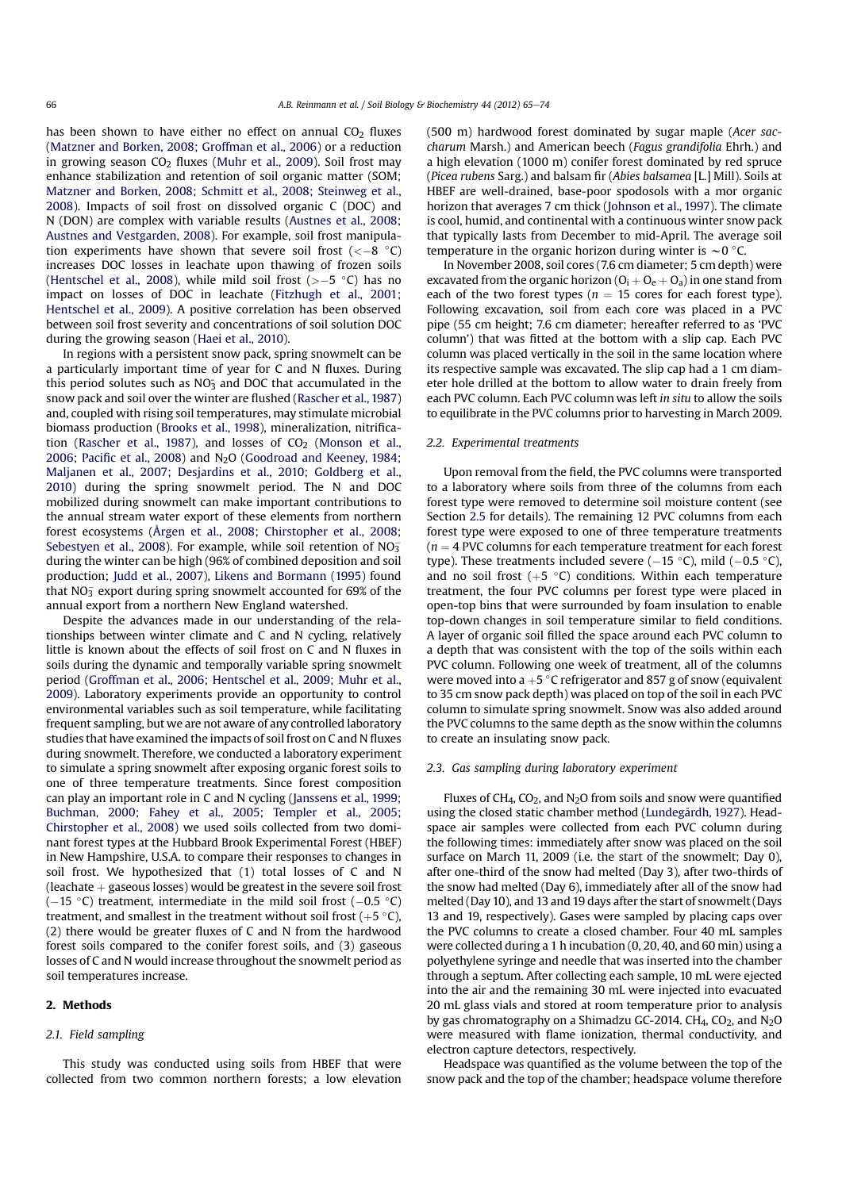has been shown to have either no effect on annual  $CO<sub>2</sub>$  fluxes (Matzner and Borken, 2008; Groffman et al., 2006) or a reduction in growing season  $CO<sub>2</sub>$  fluxes (Muhr et al., 2009). Soil frost may enhance stabilization and retention of soil organic matter (SOM; Matzner and Borken, 2008; Schmitt et al., 2008; Steinweg et al., 2008). Impacts of soil frost on dissolved organic C (DOC) and N (DON) are complex with variable results (Austnes et al., 2008; Austnes and Vestgarden, 2008). For example, soil frost manipulation experiments have shown that severe soil frost  $(<-8$  °C) increases DOC losses in leachate upon thawing of frozen soils (Hentschel et al., 2008), while mild soil frost  $(>=5 \degree C)$  has no impact on losses of DOC in leachate (Fitzhugh et al., 2001; Hentschel et al., 2009). A positive correlation has been observed between soil frost severity and concentrations of soil solution DOC during the growing season (Haei et al., 2010).

In regions with a persistent snow pack, spring snowmelt can be a particularly important time of year for C and N fluxes. During this period solutes such as  $NO<sub>3</sub>$  and DOC that accumulated in the snow pack and soil over the winter are flushed (Rascher et al., 1987) and, coupled with rising soil temperatures, may stimulate microbial biomass production (Brooks et al., 1998), mineralization, nitrification (Rascher et al., 1987), and losses of  $CO<sub>2</sub>$  (Monson et al., 2006; Pacific et al., 2008) and N2O (Goodroad and Keeney, 1984; Maljanen et al., 2007; Desjardins et al., 2010; Goldberg et al., 2010) during the spring snowmelt period. The N and DOC mobilized during snowmelt can make important contributions to the annual stream water export of these elements from northern forest ecosystems (Årgen et al., 2008; Chirstopher et al., 2008; Sebestyen et al., 2008). For example, while soil retention of  $NOS_3$ during the winter can be high (96% of combined deposition and soil production; Judd et al., 2007), Likens and Bormann (1995) found that NO<sub>3</sub> export during spring snowmelt accounted for 69% of the annual export from a northern New England watershed.

Despite the advances made in our understanding of the relationships between winter climate and C and N cycling, relatively little is known about the effects of soil frost on C and N fluxes in soils during the dynamic and temporally variable spring snowmelt period (Groffman et al., 2006; Hentschel et al., 2009; Muhr et al., 2009). Laboratory experiments provide an opportunity to control environmental variables such as soil temperature, while facilitating frequent sampling, but we are not aware of any controlled laboratory studies that have examined the impacts of soil frost on C and N fluxes during snowmelt. Therefore, we conducted a laboratory experiment to simulate a spring snowmelt after exposing organic forest soils to one of three temperature treatments. Since forest composition can play an important role in C and N cycling (Janssens et al., 1999; Buchman, 2000; Fahey et al., 2005; Templer et al., 2005; Chirstopher et al., 2008) we used soils collected from two dominant forest types at the Hubbard Brook Experimental Forest (HBEF) in New Hampshire, U.S.A. to compare their responses to changes in soil frost. We hypothesized that (1) total losses of C and N (leachate  $+$  gaseous losses) would be greatest in the severe soil frost  $(-15 \degree C)$  treatment, intermediate in the mild soil frost  $(-0.5 \degree C)$ treatment, and smallest in the treatment without soil frost  $(+5 \degree C)$ , (2) there would be greater fluxes of C and N from the hardwood forest soils compared to the conifer forest soils, and (3) gaseous losses of C and N would increase throughout the snowmelt period as soil temperatures increase.

### 2. Methods

#### 2.1. Field sampling

This study was conducted using soils from HBEF that were collected from two common northern forests; a low elevation (500 m) hardwood forest dominated by sugar maple (Acer saccharum Marsh.) and American beech (Fagus grandifolia Ehrh.) and a high elevation (1000 m) conifer forest dominated by red spruce (Picea rubens Sarg.) and balsam fir (Abies balsamea [L.] Mill). Soils at HBEF are well-drained, base-poor spodosols with a mor organic horizon that averages 7 cm thick (Johnson et al., 1997). The climate is cool, humid, and continental with a continuous winter snow pack that typically lasts from December to mid-April. The average soil temperature in the organic horizon during winter is  $\sim 0$  °C.

In November 2008, soil cores (7.6 cm diameter; 5 cm depth) were excavated from the organic horizon  $(O_i + O_e + O_a)$  in one stand from each of the two forest types ( $n = 15$  cores for each forest type). Following excavation, soil from each core was placed in a PVC pipe (55 cm height; 7.6 cm diameter; hereafter referred to as 'PVC column') that was fitted at the bottom with a slip cap. Each PVC column was placed vertically in the soil in the same location where its respective sample was excavated. The slip cap had a 1 cm diameter hole drilled at the bottom to allow water to drain freely from each PVC column. Each PVC column was left in situ to allow the soils to equilibrate in the PVC columns prior to harvesting in March 2009.

#### 2.2. Experimental treatments

Upon removal from the field, the PVC columns were transported to a laboratory where soils from three of the columns from each forest type were removed to determine soil moisture content (see Section 2.5 for details). The remaining 12 PVC columns from each forest type were exposed to one of three temperature treatments  $(n = 4$  PVC columns for each temperature treatment for each forest type). These treatments included severe  $(-15 \degree C)$ , mild  $(-0.5 \degree C)$ , and no soil frost  $(+5 \degree C)$  conditions. Within each temperature treatment, the four PVC columns per forest type were placed in open-top bins that were surrounded by foam insulation to enable top-down changes in soil temperature similar to field conditions. A layer of organic soil filled the space around each PVC column to a depth that was consistent with the top of the soils within each PVC column. Following one week of treatment, all of the columns were moved into a  $+5$  °C refrigerator and 857 g of snow (equivalent to 35 cm snow pack depth) was placed on top of the soil in each PVC column to simulate spring snowmelt. Snow was also added around the PVC columns to the same depth as the snow within the columns to create an insulating snow pack.

#### 2.3. Gas sampling during laboratory experiment

Fluxes of CH<sub>4</sub>, CO<sub>2</sub>, and N<sub>2</sub>O from soils and snow were quantified using the closed static chamber method (Lundegårdh, 1927). Headspace air samples were collected from each PVC column during the following times: immediately after snow was placed on the soil surface on March 11, 2009 (i.e. the start of the snowmelt; Day 0), after one-third of the snow had melted (Day 3), after two-thirds of the snow had melted (Day 6), immediately after all of the snow had melted (Day 10), and 13 and 19 days after the start of snowmelt (Days 13 and 19, respectively). Gases were sampled by placing caps over the PVC columns to create a closed chamber. Four 40 mL samples were collected during a 1 h incubation (0, 20, 40, and 60 min) using a polyethylene syringe and needle that was inserted into the chamber through a septum. After collecting each sample, 10 mL were ejected into the air and the remaining 30 mL were injected into evacuated 20 mL glass vials and stored at room temperature prior to analysis by gas chromatography on a Shimadzu GC-2014. CH<sub>4</sub>, CO<sub>2</sub>, and N<sub>2</sub>O were measured with flame ionization, thermal conductivity, and electron capture detectors, respectively.

Headspace was quantified as the volume between the top of the snow pack and the top of the chamber; headspace volume therefore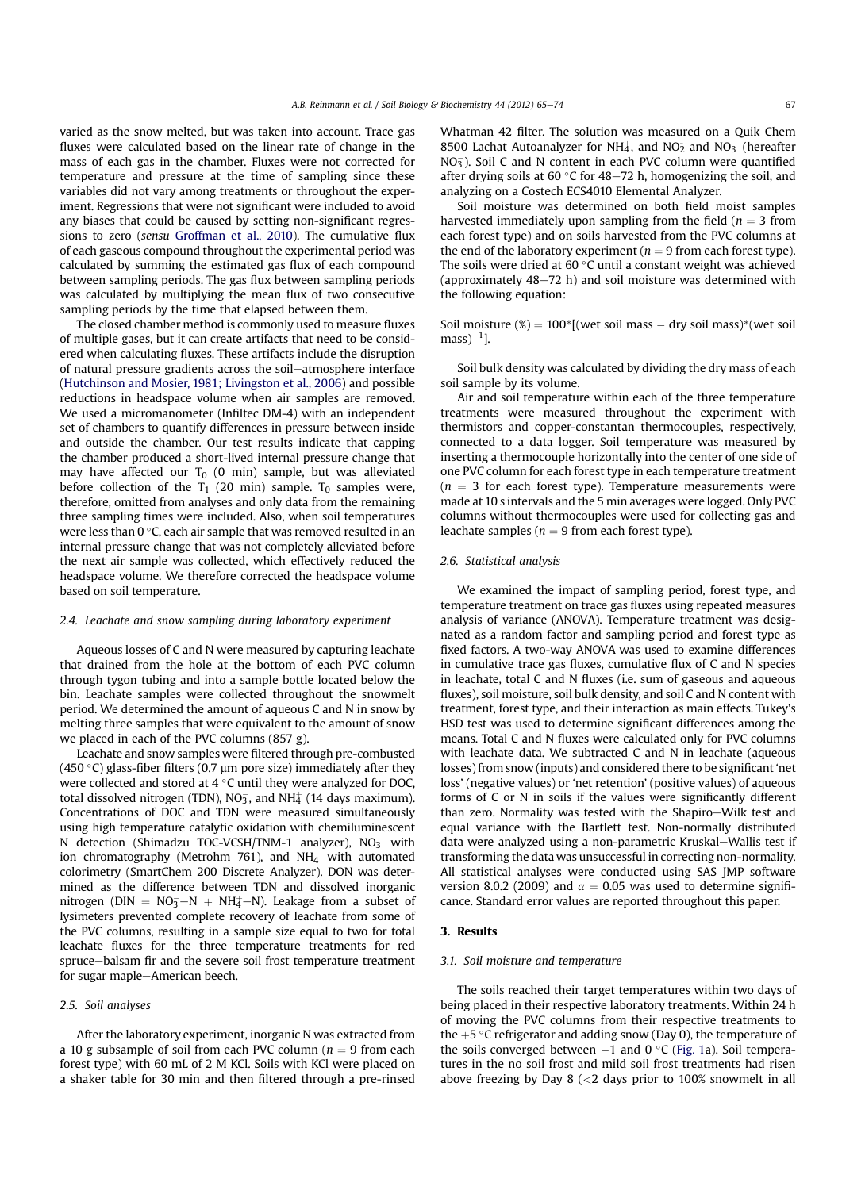varied as the snow melted, but was taken into account. Trace gas fluxes were calculated based on the linear rate of change in the mass of each gas in the chamber. Fluxes were not corrected for temperature and pressure at the time of sampling since these variables did not vary among treatments or throughout the experiment. Regressions that were not significant were included to avoid any biases that could be caused by setting non-significant regressions to zero (sensu Groffman et al., 2010). The cumulative flux of each gaseous compound throughout the experimental period was calculated by summing the estimated gas flux of each compound between sampling periods. The gas flux between sampling periods was calculated by multiplying the mean flux of two consecutive sampling periods by the time that elapsed between them.

The closed chamber method is commonly used to measure fluxes of multiple gases, but it can create artifacts that need to be considered when calculating fluxes. These artifacts include the disruption of natural pressure gradients across the soil-atmosphere interface (Hutchinson and Mosier, 1981; Livingston et al., 2006) and possible reductions in headspace volume when air samples are removed. We used a micromanometer (Infiltec DM-4) with an independent set of chambers to quantify differences in pressure between inside and outside the chamber. Our test results indicate that capping the chamber produced a short-lived internal pressure change that may have affected our  $T_0$  (0 min) sample, but was alleviated before collection of the  $T_1$  (20 min) sample.  $T_0$  samples were, therefore, omitted from analyses and only data from the remaining three sampling times were included. Also, when soil temperatures were less than  $0^{\circ}$ C, each air sample that was removed resulted in an internal pressure change that was not completely alleviated before the next air sample was collected, which effectively reduced the headspace volume. We therefore corrected the headspace volume based on soil temperature.

#### 2.4. Leachate and snow sampling during laboratory experiment

Aqueous losses of C and N were measured by capturing leachate that drained from the hole at the bottom of each PVC column through tygon tubing and into a sample bottle located below the bin. Leachate samples were collected throughout the snowmelt period. We determined the amount of aqueous C and N in snow by melting three samples that were equivalent to the amount of snow we placed in each of the PVC columns (857 g).

Leachate and snow samples were filtered through pre-combusted (450 $\degree$ C) glass-fiber filters (0.7 µm pore size) immediately after they were collected and stored at  $4^{\circ}$ C until they were analyzed for DOC, total dissolved nitrogen (TDN), NO $_3^-$ , and NH $_4^+$  (14 days maximum). Concentrations of DOC and TDN were measured simultaneously using high temperature catalytic oxidation with chemiluminescent N detection (Shimadzu TOC-VCSH/TNM-1 analyzer),  $NO_3^-$  with ion chromatography (Metrohm 761), and NH $_4^+$  with automated colorimetry (SmartChem 200 Discrete Analyzer). DON was determined as the difference between TDN and dissolved inorganic nitrogen (DIN =  $NO_3^- - N + NH_4^+ - N$ ). Leakage from a subset of lysimeters prevented complete recovery of leachate from some of the PVC columns, resulting in a sample size equal to two for total leachate fluxes for the three temperature treatments for red spruce-balsam fir and the severe soil frost temperature treatment for sugar maple-American beech.

#### 2.5. Soil analyses

After the laboratory experiment, inorganic N was extracted from a 10 g subsample of soil from each PVC column ( $n = 9$  from each forest type) with 60 mL of 2 M KCl. Soils with KCl were placed on a shaker table for 30 min and then filtered through a pre-rinsed Whatman 42 filter. The solution was measured on a Quik Chem 8500 Lachat Autoanalyzer for NH $_4^+$ , and NO<sub>2</sub> and NO<sub>3</sub> (hereafter  $NO<sub>3</sub>$ ). Soil C and N content in each PVC column were quantified after drying soils at 60 $\degree$ C for 48–72 h, homogenizing the soil, and analyzing on a Costech ECS4010 Elemental Analyzer.

Soil moisture was determined on both field moist samples harvested immediately upon sampling from the field ( $n = 3$  from each forest type) and on soils harvested from the PVC columns at the end of the laboratory experiment ( $n = 9$  from each forest type). The soils were dried at  $60^{\circ}$ C until a constant weight was achieved (approximately  $48-72$  h) and soil moisture was determined with the following equation:

Soil moisture  $\left(\frac{1}{2}\right) = 100^*$  [(wet soil mass – dry soil mass)\* (wet soil  ${\rm mass})^{-1}$ ].

Soil bulk density was calculated by dividing the dry mass of each soil sample by its volume.

Air and soil temperature within each of the three temperature treatments were measured throughout the experiment with thermistors and copper-constantan thermocouples, respectively, connected to a data logger. Soil temperature was measured by inserting a thermocouple horizontally into the center of one side of one PVC column for each forest type in each temperature treatment  $(n = 3$  for each forest type). Temperature measurements were made at 10 s intervals and the 5 min averages were logged. Only PVC columns without thermocouples were used for collecting gas and leachate samples ( $n = 9$  from each forest type).

#### 2.6. Statistical analysis

We examined the impact of sampling period, forest type, and temperature treatment on trace gas fluxes using repeated measures analysis of variance (ANOVA). Temperature treatment was designated as a random factor and sampling period and forest type as fixed factors. A two-way ANOVA was used to examine differences in cumulative trace gas fluxes, cumulative flux of C and N species in leachate, total C and N fluxes (i.e. sum of gaseous and aqueous fluxes), soil moisture, soil bulk density, and soil C and N content with treatment, forest type, and their interaction as main effects. Tukey's HSD test was used to determine significant differences among the means. Total C and N fluxes were calculated only for PVC columns with leachate data. We subtracted C and N in leachate (aqueous losses) from snow (inputs) and considered there to be significant'net loss' (negative values) or 'net retention' (positive values) of aqueous forms of C or N in soils if the values were significantly different than zero. Normality was tested with the Shapiro-Wilk test and equal variance with the Bartlett test. Non-normally distributed data were analyzed using a non-parametric Kruskal-Wallis test if transforming the data was unsuccessful in correcting non-normality. All statistical analyses were conducted using SAS JMP software version 8.0.2 (2009) and  $\alpha = 0.05$  was used to determine significance. Standard error values are reported throughout this paper.

## 3. Results

#### 3.1. Soil moisture and temperature

The soils reached their target temperatures within two days of being placed in their respective laboratory treatments. Within 24 h of moving the PVC columns from their respective treatments to the  $+5$  °C refrigerator and adding snow (Day 0), the temperature of the soils converged between  $-1$  and 0 °C (Fig. 1a). Soil temperatures in the no soil frost and mild soil frost treatments had risen above freezing by Day  $8$  (<2 days prior to 100% snowmelt in all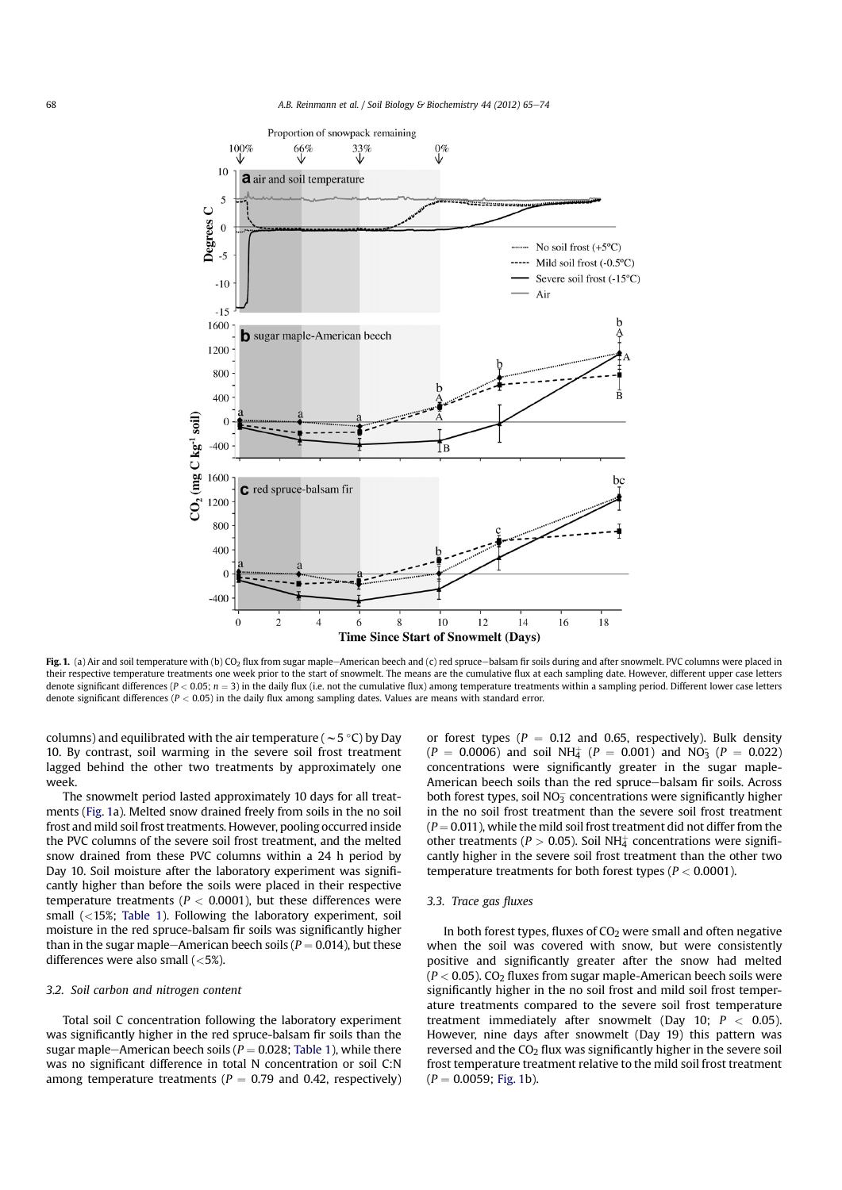

Fig. 1. (a) Air and soil temperature with (b) CO<sub>2</sub> flux from sugar maple-American beech and (c) red spruce-balsam fir soils during and after snowmelt. PVC columns were placed in their respective temperature treatments one week prior to the start of snowmelt. The means are the cumulative flux at each sampling date. However, different upper case letters denote significant differences ( $P < 0.05$ ;  $n = 3$ ) in the daily flux (i.e. not the cumulative flux) among temperature treatments within a sampling period. Different lower case letters denote significant differences ( $P < 0.05$ ) in the daily flux among sampling dates. Values are means with standard error.

columns) and equilibrated with the air temperature ( $\sim$  5 °C) by Day 10. By contrast, soil warming in the severe soil frost treatment lagged behind the other two treatments by approximately one week.

The snowmelt period lasted approximately 10 days for all treatments (Fig. 1a). Melted snow drained freely from soils in the no soil frost and mild soil frost treatments. However, pooling occurred inside the PVC columns of the severe soil frost treatment, and the melted snow drained from these PVC columns within a 24 h period by Day 10. Soil moisture after the laboratory experiment was significantly higher than before the soils were placed in their respective temperature treatments ( $P < 0.0001$ ), but these differences were small (<15%; Table 1). Following the laboratory experiment, soil moisture in the red spruce-balsam fir soils was significantly higher than in the sugar maple–American beech soils ( $P = 0.014$ ), but these differences were also small  $\left( < 5\% \right)$ .

### 3.2. Soil carbon and nitrogen content

Total soil C concentration following the laboratory experiment was significantly higher in the red spruce-balsam fir soils than the sugar maple–American beech soils ( $P = 0.028$ ; Table 1), while there was no significant difference in total N concentration or soil C:N among temperature treatments ( $P = 0.79$  and 0.42, respectively) or forest types ( $P = 0.12$  and 0.65, respectively). Bulk density  $(P = 0.0006)$  and soil NH<sub>4</sub>  $(P = 0.001)$  and NO<sub>3</sub>  $(P = 0.022)$ concentrations were significantly greater in the sugar maple-American beech soils than the red spruce-balsam fir soils. Across both forest types, soil  $NO<sub>3</sub><sup>-</sup>$  concentrations were significantly higher in the no soil frost treatment than the severe soil frost treatment  $(P = 0.011)$ , while the mild soil frost treatment did not differ from the other treatments ( $P > 0.05$ ). Soil NH<sub>4</sub> concentrations were significantly higher in the severe soil frost treatment than the other two temperature treatments for both forest types ( $P < 0.0001$ ).

#### 3.3. Trace gas fluxes

In both forest types, fluxes of  $CO<sub>2</sub>$  were small and often negative when the soil was covered with snow, but were consistently positive and significantly greater after the snow had melted  $(P < 0.05)$ . CO<sub>2</sub> fluxes from sugar maple-American beech soils were significantly higher in the no soil frost and mild soil frost temperature treatments compared to the severe soil frost temperature treatment immediately after snowmelt (Day 10;  $P < 0.05$ ). However, nine days after snowmelt (Day 19) this pattern was reversed and the  $CO<sub>2</sub>$  flux was significantly higher in the severe soil frost temperature treatment relative to the mild soil frost treatment  $(P = 0.0059;$  Fig. 1b).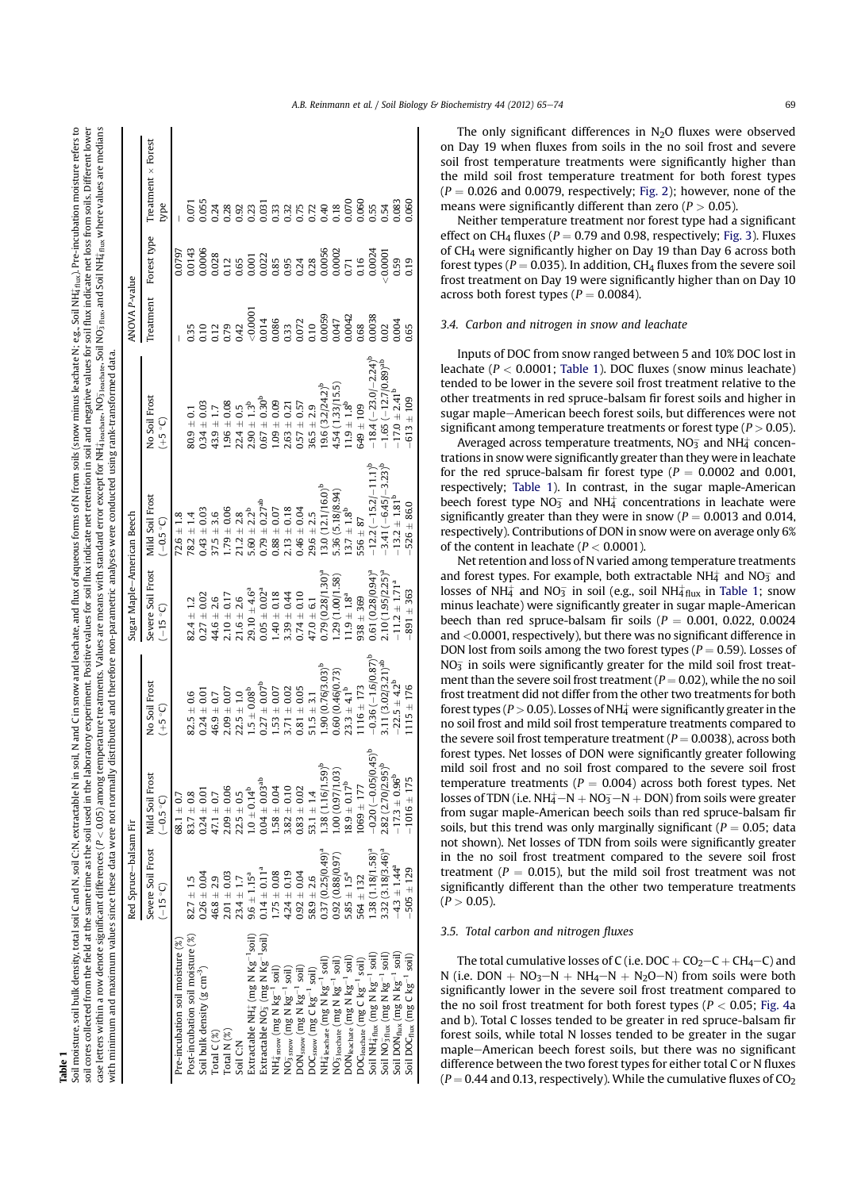| ć |
|---|

Soil moisture, soil bulk density, total soil C and N, soil C:N, extractable N in soil, N and C in snow and leachate, and flux of aqueous forms of N from soils (snow minus leachate N; e.g., Soil NH $\ddagger$ 4 $\frac{1}{4}$ <sub>flux</sub>). Pre-incubation moisture refers to soil cores collected from the field at the same time as the soil used in the laboratory experiment. Positive values for soil flux indicate net retention in soil and negative values for soil flux indicate net loss from soil case letters within a row denote significant differences ( $P < 0.05$ ) among temperature treatments. Values are means with standard error except for NH<sub>4</sub> 4 $\ddot{4}$ leachate,  $NO_{3}^{-}$ ო  $\frac{1}{3}$  leachate, Soil NO<sub>3</sub>  $\frac{1}{3}$ flux, and Soil NH $\frac{1}{4}$ 4 $4<sub>flux</sub>$  where values are medians with minimum and maximum values since these data were not normally distributed and therefore non-parametric analyses were conducted using rank-transformed data.

|                                                                                                                                                                                                    | Red Spruce-balsam Fir                                   |                               |                                | Sugar Maple-American Beech    |                                     |                               | <b>ANOVA P-value</b>     |                                                                                                                                                                                                                                                                                                     |                                      |
|----------------------------------------------------------------------------------------------------------------------------------------------------------------------------------------------------|---------------------------------------------------------|-------------------------------|--------------------------------|-------------------------------|-------------------------------------|-------------------------------|--------------------------|-----------------------------------------------------------------------------------------------------------------------------------------------------------------------------------------------------------------------------------------------------------------------------------------------------|--------------------------------------|
|                                                                                                                                                                                                    | Severe Soil Frost Mild Soil Frost<br>$( -15 \degree C)$ | $(-0.5 \circ C)$              | No Soil Frost<br>ن<br>5+)      | Severe Soil Frost<br>$-15 °C$ | Mild Soil Frost<br>$-0.5\degree$ C) | No Soil Frost<br>ن<br>1-<br>1 | Treatment                | Forest type                                                                                                                                                                                                                                                                                         | $Treatment \times Forest$<br>type    |
| Pre-incubation soil moisture (%)                                                                                                                                                                   |                                                         | $68.1 \pm 0.7$                |                                |                               | $72.6 \pm 1.8$                      |                               |                          | 0.0797                                                                                                                                                                                                                                                                                              |                                      |
| Post-incubation soil moisture (%)                                                                                                                                                                  | $82.7 \pm 1.5$                                          | $83.7 \pm 0.8$                | $82.5 \pm 0.6$                 | $32.4 \pm 1.2$                | $78.2 \pm 1.4$                      | $80.9 \pm 0.1$                |                          |                                                                                                                                                                                                                                                                                                     | 0.071                                |
| Soil bulk density (g cm <sup>-3</sup> )                                                                                                                                                            | $0.26 \pm 0.04$                                         | $0.24 \pm 0.01$               | $0.24 \pm 0.01$                | $0.27 \pm 0.02$               | $0.43 \pm 0.03$                     | $0.34 \pm 0.03$               |                          | 0.0143<br>0.0006                                                                                                                                                                                                                                                                                    | 0.055                                |
| Total $C(%)$                                                                                                                                                                                       | $46.8 \pm 2.9$                                          | $47.1 \pm 0.7$                | $46.9 \pm 0.7$                 | $44.6 \pm 2.6$                | $37.5 \pm 3.6$                      | $43.9 \pm 1.7$                | 10<br>112<br>112<br>1142 |                                                                                                                                                                                                                                                                                                     |                                      |
| Total $N$ $(%)$                                                                                                                                                                                    | $2.01 \pm 0.03$                                         | $2.09 \pm 0.06$               | $2.09 \pm 0.07$                | $2.10 \pm 0.17$               | $1.79 \pm 0.06$                     | $0.04 \pm 0.08$               |                          |                                                                                                                                                                                                                                                                                                     |                                      |
| Soil C:N                                                                                                                                                                                           | $23.4 \pm 1.7$                                          | $22.5 \pm 0.5$                | $22.5 \pm 1.0$                 | $21.6 \pm 2.6$                | $21.2 \pm 2.8$                      | $22.4 \pm 0.5$                |                          |                                                                                                                                                                                                                                                                                                     |                                      |
| Extractable NH $_4^+$ (mg N Kg $^{-1}$ soil)                                                                                                                                                       | $9.6 \pm 1.15^{a}$                                      | $1.0 \pm 0.14^{b}$            | $1.5 \pm 0.08^{\rm b}$         | $29.10 \pm 4.6^{\circ}$       | 5.60 $\pm$ 2.2 <sup>b</sup>         | $2.90 \pm 1.3^{b}$            | 0.000                    |                                                                                                                                                                                                                                                                                                     |                                      |
| Extractable NO <sub>3</sub> (mg N Kg <sup>-1</sup> soil)                                                                                                                                           | $0.14 \pm 0.11^{a}$                                     | $0.04 \pm 0.03$ <sup>ab</sup> | $0.27 \pm 0.07^{\rm b}$        | $0.05 + 0.02^a$               | $0.79 \pm 0.27$ <sup>at</sup>       | $0.67 \pm 0.30^{b}$           | 0.014                    |                                                                                                                                                                                                                                                                                                     | 0.24<br>0.28<br>0.03<br>0.03<br>0.03 |
| $NH_{4\,snow}$ (mg N kg <sup>-1</sup> soil)                                                                                                                                                        | $.75\pm0.08$                                            | $-0.04$                       | $.53 \pm 0.07$                 | $1.40 \pm 0.18$               | $0.88 \pm 0.07$                     | $0.09 \pm 0.09$               | 0.086                    | $\begin{array}{l} 0.028 \\ 0.12 \\ 0.05 \\ 0.000 \\ 0.000 \\ 0.000 \\ 0.000 \\ 0.000 \\ 0.000 \\ 0.000 \\ 0.000 \\ 0.000 \\ 0.000 \\ 0.000 \\ 0.000 \\ 0.000 \\ 0.000 \\ 0.000 \\ 0.000 \\ 0.000 \\ 0.000 \\ 0.000 \\ 0.000 \\ 0.000 \\ 0.000 \\ 0.000 \\ 0.000 \\ 0.000 \\ 0.000 \\ 0.000 \\ 0.00$ |                                      |
| $\begin{array}{l} \rm{NO}_{3\,\rm{mow}}\left(mg\;N\,kg^{-1}\;sol\right)\\ \rm{DON}_{\rm{snow}}\left(mg\;N\;kg^{-1}\;sol\right)\\ \rm{DOC}_{\rm{snow}}\left(mg\;C\;kg^{-1}\;sol\right) \end{array}$ | $4.24 \pm 0.19$                                         | $3.82 \pm 0.10$               | $3.71 \pm 0.02$                | $3.39 + 0.44$                 | $2.13 \pm 0.18$                     | $2.63 \pm 0.21$               | 0.33<br>0.072            |                                                                                                                                                                                                                                                                                                     | 3325728                              |
|                                                                                                                                                                                                    | $0.92 + 0.04$                                           | $0.83 \pm 0.02$               | $0.81 \pm 0.05$                | $0.74 \pm 0.10$               | $0.46 \pm 0.04$                     | $0.57 \pm 0.57$               |                          |                                                                                                                                                                                                                                                                                                     |                                      |
|                                                                                                                                                                                                    | $58.9 + 2.6$                                            | $53.1 \pm 1.4$                | $51.5 \pm 3.1$                 | $47.0 \pm 6.1$                | $29.6 \pm 2.5$                      | $36.5 \pm 2.9$                | 0.10                     |                                                                                                                                                                                                                                                                                                     |                                      |
| NH $\ddot{4}$ leachate (Mg N kg $^{-1}$ soll)                                                                                                                                                      | $0.37(0.25/0.49)^a$                                     | $(1.16/1.59)^b$               | $90(0.76/3.03)^E$              | $0.79(0.28/1.30)^a$           | [3.0 (12.1/16.0) <sup>t</sup>       | $(9.6 (3.2/24.2)^E$           | 0.0059                   |                                                                                                                                                                                                                                                                                                     |                                      |
| NO <sub>3</sub> leachate (mg N kg <sup>-1</sup> soil                                                                                                                                               | (0.92(0.88/0.97))                                       | (0.1/100)(0.00)               | 0.60 (0.46/0.73                | .29(1.00/1.58)                | 5.36 (5.18/8.94)                    | 4.54 (1.33/15.5               | 0.047                    | 0.0002                                                                                                                                                                                                                                                                                              |                                      |
| DON <sub>leachate</sub> (mg N kg <sup>-1</sup> soil)                                                                                                                                               | $5.85 \pm 1.5^a$                                        | $8.9 \pm 0.17^{b}$            | $23.3 \pm 4.1$ <sup>t</sup>    | $1.9 \pm 1.8^{\circ}$         | $13.7 \pm 1.8$                      | $1.9 \pm 1.8$                 | 0.0042                   | 0.71                                                                                                                                                                                                                                                                                                | 0.070                                |
| DOCleachate (mg C kg <sup>-1</sup> soil)                                                                                                                                                           | $564 \pm 132$                                           | $069 \pm 177$                 | $116 \pm 173$                  | $938 + 369$                   | $556 \pm 87$                        | $649 \pm 109$                 | 0.68                     | 0.16                                                                                                                                                                                                                                                                                                | 0.060                                |
| Soil NH $\ddagger$ <sub>flux</sub> (mg N kg <sup>-1</sup> soil)                                                                                                                                    | $.38(1.18/1.58)^a$                                      | $45)^b$<br>$-0.20(-0.05)0.4$  | $-0.36(-1.6/0.87)^b$           | $0.61(0.28/0.94)^a$           | $-12.2(-15.2(-1)$                   | $-18.4(-23.0(-2.24)$          | 0.0038                   | 0.0024                                                                                                                                                                                                                                                                                              | 0.55                                 |
| Soil $NO_{3\,flux}$ (mg N $kg^{-1}$ soil)                                                                                                                                                          | $(3.18/3.46)^4$                                         | $.82(2.70/2.95)^{p}$          | $.11(3.02/3.21)$ <sup>at</sup> | $10(1.95/2.25)^4$             | $-3.41(-6.45(-3.23))$               | $-1.65(-12.7/0.89)^{a}$       | 0.02                     | 0.0001                                                                                                                                                                                                                                                                                              | 0.54                                 |
| Soil $\text{DOM}_{\text{flux}}$ (mg N $\text{kg}^{-1}$ soil)                                                                                                                                       | $-4.3 \pm 1.44^{\circ}$                                 | $-17.3 \pm 0.96^{p}$          | $-22.5 \pm 4.2^{\rm b}$        | $-11.2 \pm 1.71$ <sup>a</sup> | $-13.2 \pm 1.81$                    | $-17.0 \pm 2.41$              | 0.004                    | 0.59                                                                                                                                                                                                                                                                                                | 0.083                                |
| Soil DOC <sub>flux</sub> (mg C kg <sup>-1</sup> soil)                                                                                                                                              | $-505 \pm 129$                                          | $-1016 \pm 175$               | $115 \pm 176$                  | $-891 \pm 363$                | $-526 \pm 86.0$                     | $-613 \pm 109$                | 0.65                     | 0.19                                                                                                                                                                                                                                                                                                | 0.060                                |

The only significant differences in  $N_2O$  fluxes were observed on Day 19 when fluxes from soils in the no soil frost and severe soil frost temperature treatments were significantly higher than the mild soil frost temperature treatment for both forest types  $(P = 0.026$  and 0.0079, respectively; Fig. 2); however, none of the

means were significantly different than zero ( $P > 0.05$ ). Neither temperature treatment nor forest type had a significant effect on CH<sub>4</sub> fluxes ( $P = 0.79$  and 0.98, respectively: Fig. 3). Fluxes of CH4 were significantly higher on Day 19 than Day 6 across both forest types ( $P = 0.035$ ). In addition, CH<sub>4</sub> fluxes from the severe soil frost treatment on Day 19 were significantly higher than on Day 10 across both forest types ( $P = 0.0084$ ).

## 3.4. Carbon and nitrogen in snow and leachate

Inputs of DOC from snow ranged between 5 and 10% DOC lost in leachate ( $P < 0.0001$ ; Table 1). DOC fluxes (snow minus leachate) tended to be lower in the severe soil frost treatment relative to the other treatments in red spruce-balsam fir forest soils and higher in sugar maple-American beech forest soils, but differences were not significant among temperature treatments or forest type ( $P > 0.05$ ).

Averaged across temperature treatments,  $NO<sub>3</sub>$  and  $NH<sub>4</sub>$  concentrations in snow were significantly greater than they were in leachate for the red spruce-balsam fir forest type ( $P = 0.0002$  and 0.001, respectively; Table 1). In contrast, in the sugar maple-American beech forest type  $NO_3^-$  and  $NH_4^+$  concentrations in leachate were significantly greater than they were in snow  $(P = 0.0013$  and 0.014, respectively). Contributions of DON in snow were on average only 6% of the content in leachate  $(P < 0.0001)$ .

Net retention and loss of N varied among temperature treatments and forest types. For example, both extractable NH $_4^+$  and NO $_3^-$  and losses of NH $_4^+$  and NO<sub>3</sub> in soil (e.g., soil NH $_4^+$ <sub>flux</sub> in Table 1; snow minus leachate) were significantly greater in sugar maple-American beech than red spruce-balsam fir soils ( $P = 0.001, 0.022, 0.0024$ and <0.0001, respectively), but there was no significant difference in DON lost from soils among the two forest types ( $P = 0.59$ ). Losses of  $NO<sub>3</sub>$  in soils were significantly greater for the mild soil frost treatment than the severe soil frost treatment ( $P = 0.02$ ), while the no soil frost treatment did not differ from the other two treatments for both forest types (P  $>$  0.05). Losses of NH $_4^+$  were significantly greater in the no soil frost and mild soil frost temperature treatments compared to the severe soil frost temperature treatment ( $P = 0.0038$ ), across both forest types. Net losses of DON were significantly greater following mild soil frost and no soil frost compared to the severe soil frost temperature treatments ( $P = 0.004$ ) across both forest types. Net losses of TDN (i.e.  $NH_4^+$ –N +  $NO_3^-$ –N + DON) from soils were greater from sugar maple-American beech soils than red spruce-balsam fir soils, but this trend was only marginally significant ( $P = 0.05$ ; data not shown). Net losses of TDN from soils were significantly greater in the no soil frost treatment compared to the severe soil frost treatment ( $P = 0.015$ ), but the mild soil frost treatment was not significantly different than the other two temperature treatments  $(P > 0.05)$ .

# 3.5. Total carbon and nitrogen fluxes

The total cumulative losses of C (i.e. DOC +  $CO_2-C + CH_4-C$ ) and N (i.e. DON +  $NO_3-N + NH_4-N + N_2O-N$ ) from soils were both significantly lower in the severe soil frost treatment compared to the no soil frost treatment for both forest types ( $P < 0.05$ ; Fig. 4a and b). Total C losses tended to be greater in red spruce-balsam fir forest soils, while total N losses tended to be greater in the sugar maple-American beech forest soils, but there was no significant difference between the two forest types for either total C or N fluxes  $(P = 0.44$  and 0.13, respectively). While the cumulative fluxes of CO<sub>2</sub>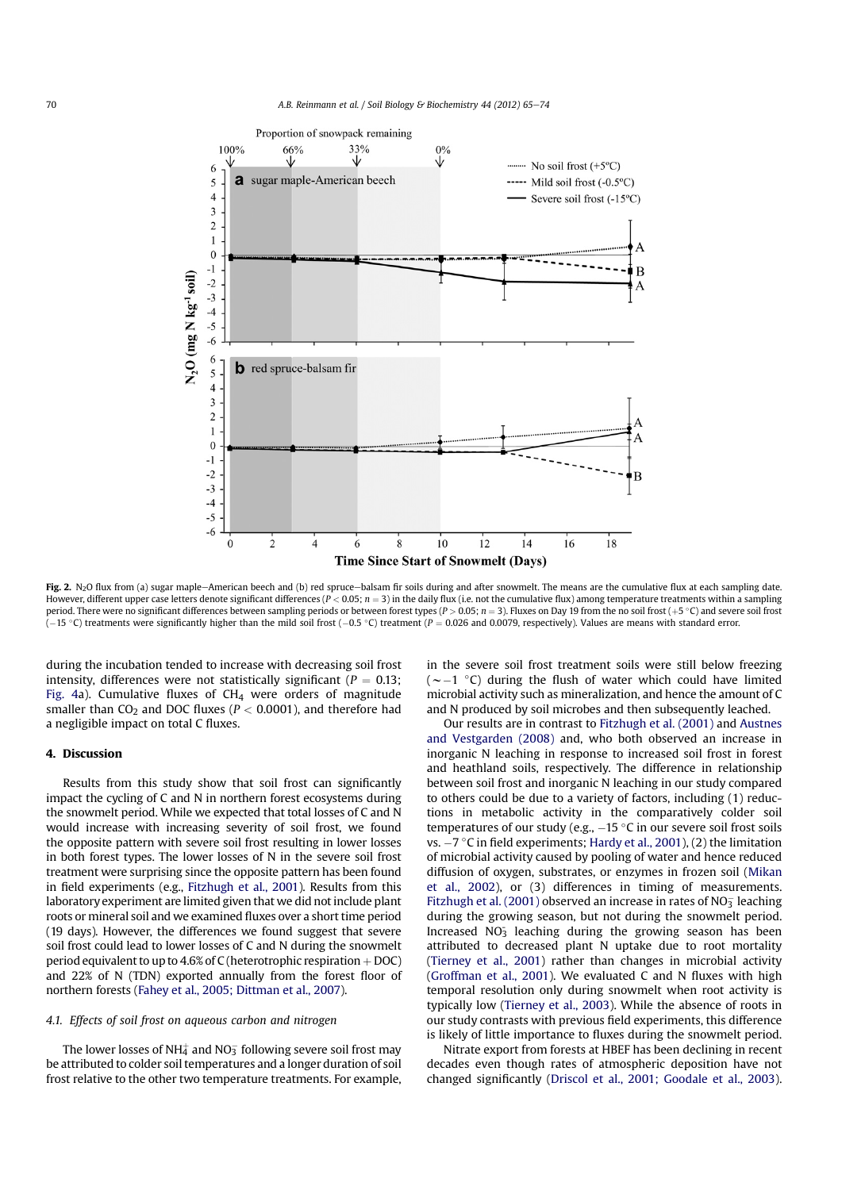

Fig. 2. N<sub>2</sub>O flux from (a) sugar maple–American beech and (b) red spruce–balsam fir soils during and after snowmelt. The means are the cumulative flux at each sampling date. However, different upper case letters denote significant differences ( $P < 0.05$ ;  $n = 3$ ) in the daily flux (i.e. not the cumulative flux) among temperature treatments within a sampling period. There were no significant differences between sampling periods or between forest types (P > 0.05; n = 3). Fluxes on Day 19 from the no soil frost (+5 °C) and severe soil frost (-15 °C) treatments were significantly higher than the mild soil frost (-0.5 °C) treatment (P = 0.026 and 0.0079, respectively). Values are means with standard error.

during the incubation tended to increase with decreasing soil frost intensity, differences were not statistically significant ( $P = 0.13$ ; Fig. 4a). Cumulative fluxes of CH4 were orders of magnitude smaller than  $CO<sub>2</sub>$  and DOC fluxes ( $P < 0.0001$ ), and therefore had a negligible impact on total C fluxes.

## 4. Discussion

Results from this study show that soil frost can significantly impact the cycling of C and N in northern forest ecosystems during the snowmelt period. While we expected that total losses of C and N would increase with increasing severity of soil frost, we found the opposite pattern with severe soil frost resulting in lower losses in both forest types. The lower losses of N in the severe soil frost treatment were surprising since the opposite pattern has been found in field experiments (e.g., Fitzhugh et al., 2001). Results from this laboratory experiment are limited given that we did not include plant roots or mineral soil and we examined fluxes over a short time period (19 days). However, the differences we found suggest that severe soil frost could lead to lower losses of C and N during the snowmelt period equivalent to up to 4.6% of C (heterotrophic respiration  $+$  DOC) and 22% of N (TDN) exported annually from the forest floor of northern forests (Fahey et al., 2005; Dittman et al., 2007).

#### 4.1. Effects of soil frost on aqueous carbon and nitrogen

The lower losses of NH $_4^+$  and NO $_3^-$  following severe soil frost may be attributed to colder soil temperatures and a longer duration of soil frost relative to the other two temperature treatments. For example, in the severe soil frost treatment soils were still below freezing  $(-1)$  °C) during the flush of water which could have limited microbial activity such as mineralization, and hence the amount of C and N produced by soil microbes and then subsequently leached.

Our results are in contrast to Fitzhugh et al. (2001) and Austnes and Vestgarden (2008) and, who both observed an increase in inorganic N leaching in response to increased soil frost in forest and heathland soils, respectively. The difference in relationship between soil frost and inorganic N leaching in our study compared to others could be due to a variety of factors, including (1) reductions in metabolic activity in the comparatively colder soil temperatures of our study (e.g.,  $-15$  °C in our severe soil frost soils vs.  $-7$  °C in field experiments; Hardy et al., 2001), (2) the limitation of microbial activity caused by pooling of water and hence reduced diffusion of oxygen, substrates, or enzymes in frozen soil (Mikan et al., 2002), or (3) differences in timing of measurements. Fitzhugh et al. (2001) observed an increase in rates of NO $_3^-$  leaching during the growing season, but not during the snowmelt period. Increased NO<sub>3</sub> leaching during the growing season has been attributed to decreased plant N uptake due to root mortality (Tierney et al., 2001) rather than changes in microbial activity (Groffman et al., 2001). We evaluated C and N fluxes with high temporal resolution only during snowmelt when root activity is typically low (Tierney et al., 2003). While the absence of roots in our study contrasts with previous field experiments, this difference is likely of little importance to fluxes during the snowmelt period.

Nitrate export from forests at HBEF has been declining in recent decades even though rates of atmospheric deposition have not changed significantly (Driscol et al., 2001; Goodale et al., 2003).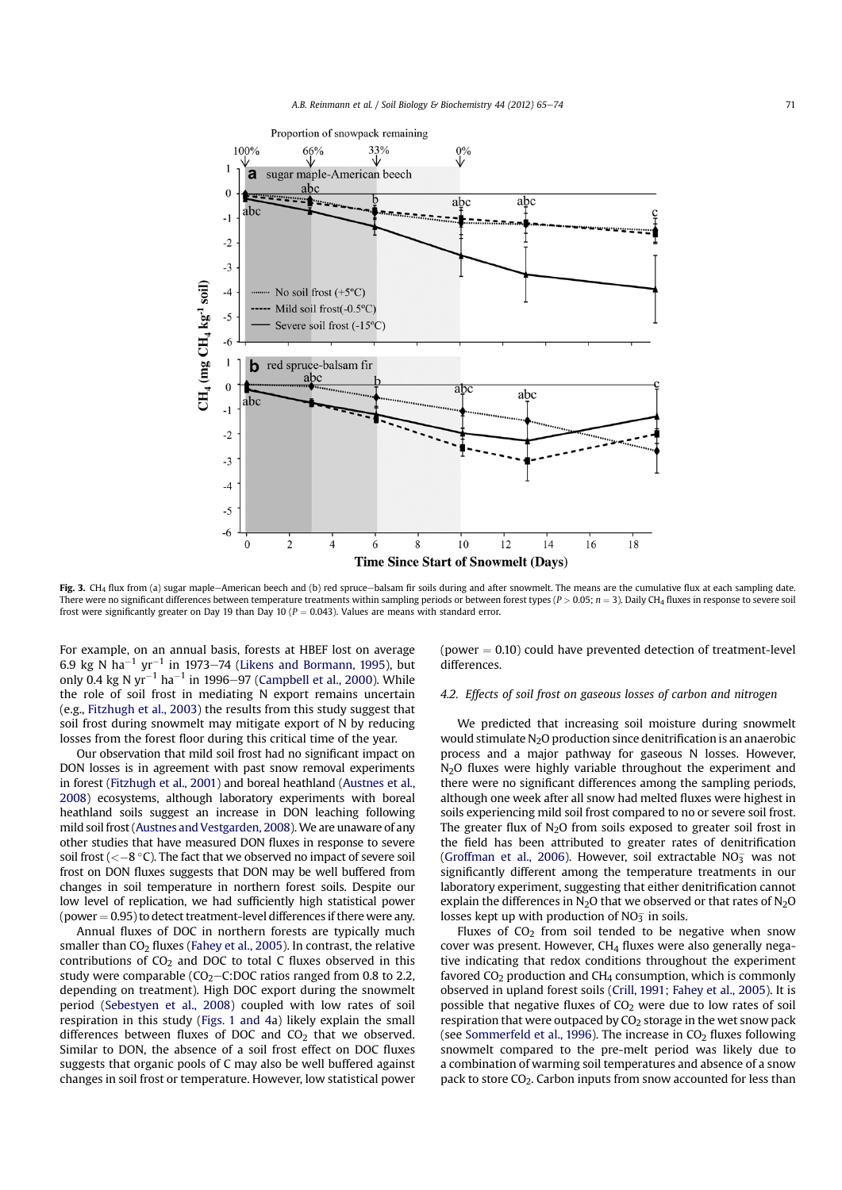

Fig. 3. CH<sub>4</sub> flux from (a) sugar maple–American beech and (b) red spruce–balsam fir soils during and after snowmelt. The means are the cumulative flux at each sampling date. There were no significant differences between temperature treatments within sampling periods or between forest types ( $P > 0.05$ ;  $n = 3$ ). Daily CH<sub>4</sub> fluxes in response to severe soil frost were significantly greater on Day 19 than Day 10 ( $P = 0.043$ ). Values are means with standard error.

For example, on an annual basis, forests at HBEF lost on average 6.9 kg N ha<sup>-1</sup> yr<sup>-1</sup> in 1973–74 (Likens and Bormann, 1995), but only 0.4 kg N yr<sup>-1</sup> ha<sup>-1</sup> in 1996-97 (Campbell et al., 2000). While the role of soil frost in mediating N export remains uncertain (e.g., Fitzhugh et al., 2003) the results from this study suggest that soil frost during snowmelt may mitigate export of N by reducing losses from the forest floor during this critical time of the year.

Our observation that mild soil frost had no significant impact on DON losses is in agreement with past snow removal experiments in forest (Fitzhugh et al., 2001) and boreal heathland (Austnes et al., 2008) ecosystems, although laboratory experiments with boreal heathland soils suggest an increase in DON leaching following mild soil frost (Austnes and Vestgarden, 2008). We are unaware of any other studies that have measured DON fluxes in response to severe soil frost  $(<-8 °C)$ . The fact that we observed no impact of severe soil frost on DON fluxes suggests that DON may be well buffered from changes in soil temperature in northern forest soils. Despite our low level of replication, we had sufficiently high statistical power (power  $= 0.95$ ) to detect treatment-level differences if there were any.

Annual fluxes of DOC in northern forests are typically much smaller than  $CO<sub>2</sub>$  fluxes (Fahey et al., 2005). In contrast, the relative contributions of  $CO<sub>2</sub>$  and DOC to total C fluxes observed in this study were comparable ( $CO<sub>2</sub>-C:DOC$  ratios ranged from 0.8 to 2.2, depending on treatment). High DOC export during the snowmelt period (Sebestyen et al., 2008) coupled with low rates of soil respiration in this study (Figs. 1 and 4a) likely explain the small differences between fluxes of DOC and  $CO<sub>2</sub>$  that we observed. Similar to DON, the absence of a soil frost effect on DOC fluxes suggests that organic pools of C may also be well buffered against changes in soil frost or temperature. However, low statistical power (power  $= 0.10$ ) could have prevented detection of treatment-level differences.

#### 4.2. Effects of soil frost on gaseous losses of carbon and nitrogen

We predicted that increasing soil moisture during snowmelt would stimulate  $N_2O$  production since denitrification is an anaerobic process and a major pathway for gaseous N losses. However, N<sub>2</sub>O fluxes were highly variable throughout the experiment and there were no significant differences among the sampling periods, although one week after all snow had melted fluxes were highest in soils experiencing mild soil frost compared to no or severe soil frost. The greater flux of  $N_2O$  from soils exposed to greater soil frost in the field has been attributed to greater rates of denitrification (Groffman et al., 2006). However, soil extractable  $NO<sub>3</sub>$  was not significantly different among the temperature treatments in our laboratory experiment, suggesting that either denitrification cannot explain the differences in  $N_2O$  that we observed or that rates of  $N_2O$ losses kept up with production of  $NO<sub>3</sub>$  in soils.

Fluxes of  $CO<sub>2</sub>$  from soil tended to be negative when snow cover was present. However,  $CH<sub>4</sub>$  fluxes were also generally negative indicating that redox conditions throughout the experiment favored  $CO<sub>2</sub>$  production and  $CH<sub>4</sub>$  consumption, which is commonly observed in upland forest soils (Crill, 1991; Fahey et al., 2005). It is possible that negative fluxes of  $CO<sub>2</sub>$  were due to low rates of soil respiration that were outpaced by  $CO<sub>2</sub>$  storage in the wet snow pack (see Sommerfeld et al., 1996). The increase in  $CO<sub>2</sub>$  fluxes following snowmelt compared to the pre-melt period was likely due to a combination of warming soil temperatures and absence of a snow pack to store CO2. Carbon inputs from snow accounted for less than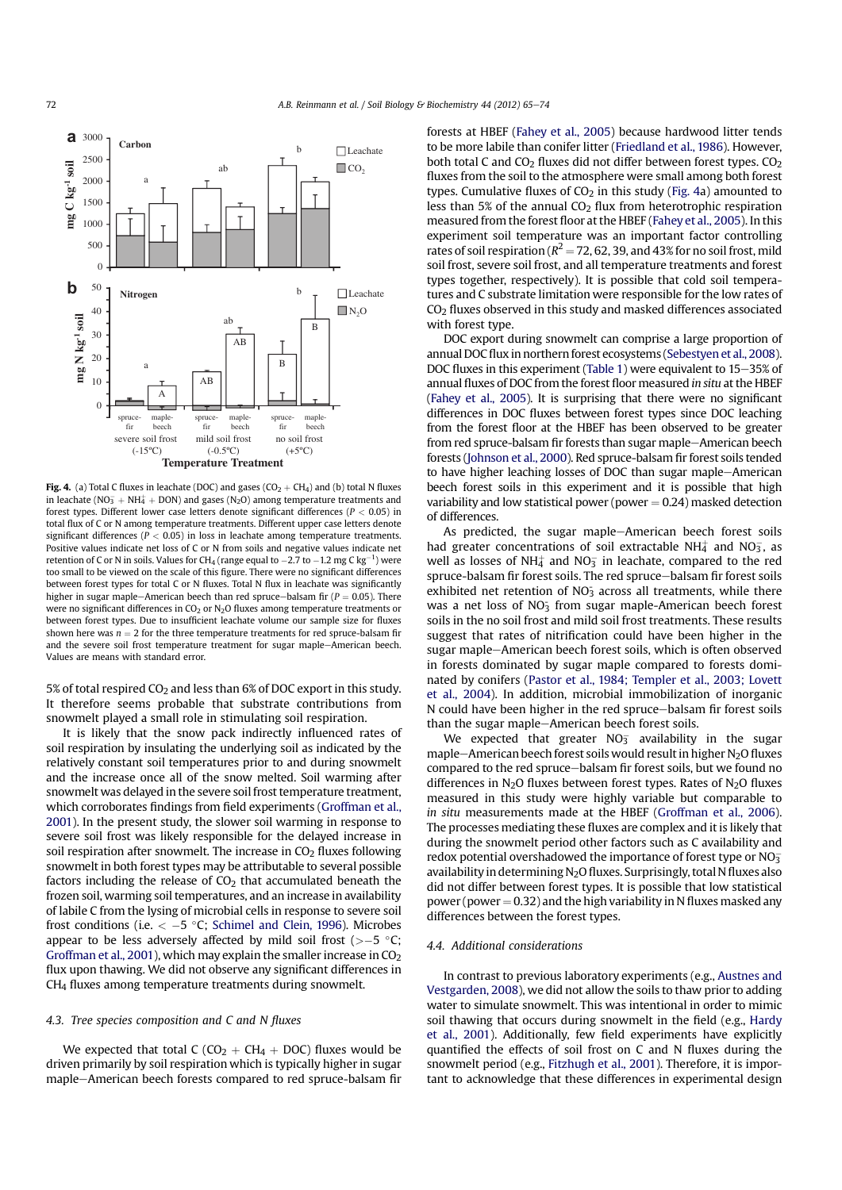

Fig. 4. (a) Total C fluxes in leachate (DOC) and gases ( $CO<sub>2</sub> + CH<sub>4</sub>$ ) and (b) total N fluxes in leachate (NO<sub>3</sub> + NH $_4$  + DON) and gases (N<sub>2</sub>O) among temperature treatments and forest types. Different lower case letters denote significant differences ( $P < 0.05$ ) in total flux of C or N among temperature treatments. Different upper case letters denote significant differences ( $P < 0.05$ ) in loss in leachate among temperature treatments. Positive values indicate net loss of C or N from soils and negative values indicate net retention of C or N in soils. Values for CH<sub>4</sub> (range equal to  $-2.7$  to  $-1.2$  mg C kg $^{-1}$ ) were too small to be viewed on the scale of this figure. There were no significant differences between forest types for total C or N fluxes. Total N flux in leachate was significantly higher in sugar maple–American beech than red spruce–balsam fir ( $P = 0.05$ ). There were no significant differences in  $CO<sub>2</sub>$  or  $N<sub>2</sub>O$  fluxes among temperature treatments or between forest types. Due to insufficient leachate volume our sample size for fluxes shown here was  $n = 2$  for the three temperature treatments for red spruce-balsam fir and the severe soil frost temperature treatment for sugar maple-American beech. Values are means with standard error.

5% of total respired  $CO<sub>2</sub>$  and less than 6% of DOC export in this study. It therefore seems probable that substrate contributions from snowmelt played a small role in stimulating soil respiration.

It is likely that the snow pack indirectly influenced rates of soil respiration by insulating the underlying soil as indicated by the relatively constant soil temperatures prior to and during snowmelt and the increase once all of the snow melted. Soil warming after snowmelt was delayed in the severe soil frost temperature treatment, which corroborates findings from field experiments (Groffman et al., 2001). In the present study, the slower soil warming in response to severe soil frost was likely responsible for the delayed increase in soil respiration after snowmelt. The increase in  $CO<sub>2</sub>$  fluxes following snowmelt in both forest types may be attributable to several possible factors including the release of  $CO<sub>2</sub>$  that accumulated beneath the frozen soil, warming soil temperatures, and an increase in availability of labile C from the lysing of microbial cells in response to severe soil frost conditions (i.e.  $<-5$  °C; Schimel and Clein, 1996). Microbes appear to be less adversely affected by mild soil frost  $(>=5$  °C; Groffman et al., 2001), which may explain the smaller increase in  $CO<sub>2</sub>$ flux upon thawing. We did not observe any significant differences in CH4 fluxes among temperature treatments during snowmelt.

#### 4.3. Tree species composition and C and N fluxes

We expected that total C ( $CO<sub>2</sub> + CH<sub>4</sub> + DOC$ ) fluxes would be driven primarily by soil respiration which is typically higher in sugar maple-American beech forests compared to red spruce-balsam fir forests at HBEF (Fahey et al., 2005) because hardwood litter tends to be more labile than conifer litter (Friedland et al., 1986). However, both total C and  $CO<sub>2</sub>$  fluxes did not differ between forest types.  $CO<sub>2</sub>$ fluxes from the soil to the atmosphere were small among both forest types. Cumulative fluxes of  $CO<sub>2</sub>$  in this study (Fig. 4a) amounted to less than 5% of the annual  $CO<sub>2</sub>$  flux from heterotrophic respiration measured from the forest floor at the HBEF (Fahey et al., 2005). In this experiment soil temperature was an important factor controlling rates of soil respiration ( $R^2$  = 72, 62, 39, and 43% for no soil frost, mild soil frost, severe soil frost, and all temperature treatments and forest types together, respectively). It is possible that cold soil temperatures and C substrate limitation were responsible for the low rates of CO2 fluxes observed in this study and masked differences associated with forest type.

DOC export during snowmelt can comprise a large proportion of annual DOCflux in northern forest ecosystems (Sebestyen et al., 2008). DOC fluxes in this experiment (Table 1) were equivalent to  $15-35\%$  of annual fluxes of DOC from the forest floor measured in situ at the HBEF (Fahey et al., 2005). It is surprising that there were no significant differences in DOC fluxes between forest types since DOC leaching from the forest floor at the HBEF has been observed to be greater from red spruce-balsam fir forests than sugar maple-American beech forests (Johnson et al., 2000). Red spruce-balsam fir forest soils tended to have higher leaching losses of DOC than sugar maple-American beech forest soils in this experiment and it is possible that high variability and low statistical power (power  $= 0.24$ ) masked detection of differences.

As predicted, the sugar maple-American beech forest soils had greater concentrations of soil extractable NH $_4^+$  and NO<sub>3</sub>, as well as losses of NH $_4^+$  and NO $_3^-$  in leachate, compared to the red spruce-balsam fir forest soils. The red spruce-balsam fir forest soils exhibited net retention of  $NO<sub>3</sub>$  across all treatments, while there was a net loss of NO<sub>3</sub> from sugar maple-American beech forest soils in the no soil frost and mild soil frost treatments. These results suggest that rates of nitrification could have been higher in the sugar maple-American beech forest soils, which is often observed in forests dominated by sugar maple compared to forests dominated by conifers (Pastor et al., 1984; Templer et al., 2003; Lovett et al., 2004). In addition, microbial immobilization of inorganic N could have been higher in the red spruce-balsam fir forest soils than the sugar maple-American beech forest soils.

We expected that greater  $NO<sub>3</sub>$  availability in the sugar maple-American beech forest soils would result in higher  $N_2O$  fluxes compared to the red spruce-balsam fir forest soils, but we found no differences in  $N_2O$  fluxes between forest types. Rates of  $N_2O$  fluxes measured in this study were highly variable but comparable to in situ measurements made at the HBEF (Groffman et al., 2006). The processes mediating these fluxes are complex and it is likely that during the snowmelt period other factors such as C availability and redox potential overshadowed the importance of forest type or  $NO_{3}^{-}$ availability in determining N2O fluxes. Surprisingly, total N fluxes also did not differ between forest types. It is possible that low statistical power (power  $= 0.32$ ) and the high variability in N fluxes masked any differences between the forest types.

#### 4.4. Additional considerations

In contrast to previous laboratory experiments (e.g., Austnes and Vestgarden, 2008), we did not allow the soils to thaw prior to adding water to simulate snowmelt. This was intentional in order to mimic soil thawing that occurs during snowmelt in the field (e.g., Hardy et al., 2001). Additionally, few field experiments have explicitly quantified the effects of soil frost on C and N fluxes during the snowmelt period (e.g., Fitzhugh et al., 2001). Therefore, it is important to acknowledge that these differences in experimental design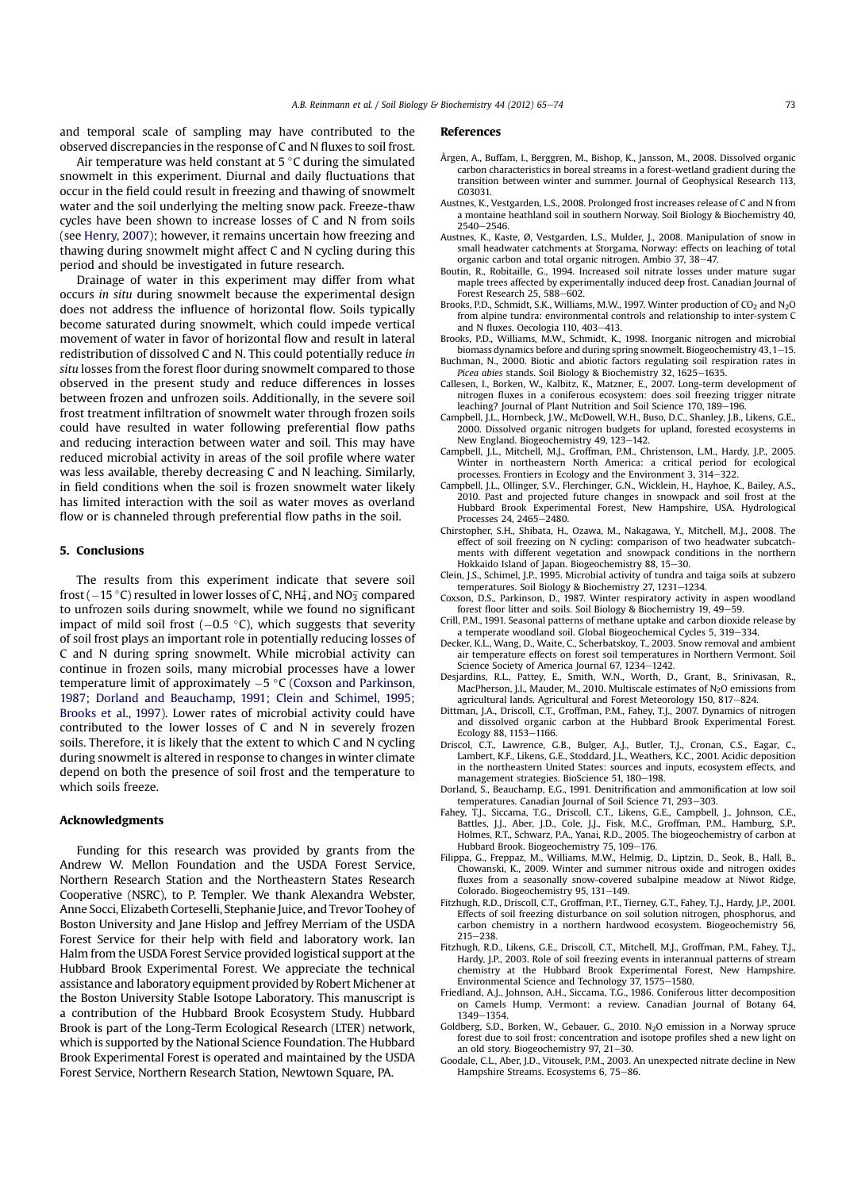and temporal scale of sampling may have contributed to the observed discrepancies in the response of C and N fluxes to soil frost.

Air temperature was held constant at  $5^{\circ}$ C during the simulated snowmelt in this experiment. Diurnal and daily fluctuations that occur in the field could result in freezing and thawing of snowmelt water and the soil underlying the melting snow pack. Freeze-thaw cycles have been shown to increase losses of C and N from soils (see Henry, 2007); however, it remains uncertain how freezing and thawing during snowmelt might affect C and N cycling during this period and should be investigated in future research.

Drainage of water in this experiment may differ from what occurs in situ during snowmelt because the experimental design does not address the influence of horizontal flow. Soils typically become saturated during snowmelt, which could impede vertical movement of water in favor of horizontal flow and result in lateral redistribution of dissolved C and N. This could potentially reduce in situ losses from the forest floor during snowmelt compared to those observed in the present study and reduce differences in losses between frozen and unfrozen soils. Additionally, in the severe soil frost treatment infiltration of snowmelt water through frozen soils could have resulted in water following preferential flow paths and reducing interaction between water and soil. This may have reduced microbial activity in areas of the soil profile where water was less available, thereby decreasing C and N leaching. Similarly, in field conditions when the soil is frozen snowmelt water likely has limited interaction with the soil as water moves as overland flow or is channeled through preferential flow paths in the soil.

#### 5. Conclusions

The results from this experiment indicate that severe soil frost (–15 °C) resulted in lower losses of C, NH $_4^+$ , and NO<sub>3</sub> compared to unfrozen soils during snowmelt, while we found no significant impact of mild soil frost  $(-0.5 \degree C)$ , which suggests that severity of soil frost plays an important role in potentially reducing losses of C and N during spring snowmelt. While microbial activity can continue in frozen soils, many microbial processes have a lower temperature limit of approximately  $-5$  °C (Coxson and Parkinson, 1987; Dorland and Beauchamp, 1991; Clein and Schimel, 1995; Brooks et al., 1997). Lower rates of microbial activity could have contributed to the lower losses of C and N in severely frozen soils. Therefore, it is likely that the extent to which C and N cycling during snowmelt is altered in response to changes in winter climate depend on both the presence of soil frost and the temperature to which soils freeze.

#### Acknowledgments

Funding for this research was provided by grants from the Andrew W. Mellon Foundation and the USDA Forest Service, Northern Research Station and the Northeastern States Research Cooperative (NSRC), to P. Templer. We thank Alexandra Webster, Anne Socci, Elizabeth Corteselli, Stephanie Juice, and Trevor Toohey of Boston University and Jane Hislop and Jeffrey Merriam of the USDA Forest Service for their help with field and laboratory work. Ian Halm from the USDA Forest Service provided logistical support at the Hubbard Brook Experimental Forest. We appreciate the technical assistance and laboratory equipment provided by Robert Michener at the Boston University Stable Isotope Laboratory. This manuscript is a contribution of the Hubbard Brook Ecosystem Study. Hubbard Brook is part of the Long-Term Ecological Research (LTER) network, which is supported by the National Science Foundation. The Hubbard Brook Experimental Forest is operated and maintained by the USDA Forest Service, Northern Research Station, Newtown Square, PA.

#### References

- Årgen, A., Buffam, I., Berggren, M., Bishop, K., Jansson, M., 2008. Dissolved organic carbon characteristics in boreal streams in a forest-wetland gradient during the transition between winter and summer. Journal of Geophysical Research 113, G03031.
- Austnes, K., Vestgarden, L.S., 2008. Prolonged frost increases release of C and N from a montaine heathland soil in southern Norway. Soil Biology & Biochemistry 40, 2540-2546
- Austnes, K., Kaste, Ø, Vestgarden, L.S., Mulder, J., 2008. Manipulation of snow in small headwater catchments at Storgama, Norway: effects on leaching of total organic carbon and total organic nitrogen. Ambio 37, 38-47.
- Boutin, R., Robitaille, G., 1994. Increased soil nitrate losses under mature sugar maple trees affected by experimentally induced deep frost. Canadian Journal of  $For$ est Research  $25, 588 - 602$
- Brooks, P.D., Schmidt, S.K., Williams, M.W., 1997. Winter production of  $CO<sub>2</sub>$  and  $N<sub>2</sub>O$ from alpine tundra: environmental controls and relationship to inter-system C and N fluxes. Oecologia  $110.403 - 413$
- Brooks, P.D., Williams, M.W., Schmidt, K., 1998. Inorganic nitrogen and microbial biomass dynamics before and during spring snowmelt. Biogeochemistry 43, 1-15.
- Buchman, N., 2000. Biotic and abiotic factors regulating soil respiration rates in Picea abies stands. Soil Biology & Biochemistry 32, 1625-1635.
- Callesen, I., Borken, W., Kalbitz, K., Matzner, E., 2007. Long-term development of nitrogen fluxes in a coniferous ecosystem: does soil freezing trigger nitrate leaching? Journal of Plant Nutrition and Soil Science 170, 189-196.
- Campbell, J.L., Hornbeck, J.W., McDowell, W.H., Buso, D.C., Shanley, J.B., Likens, G.E., 2000. Dissolved organic nitrogen budgets for upland, forested ecosystems in New England. Biogeochemistry 49, 123-142.
- Campbell, J.L., Mitchell, M.J., Groffman, P.M., Christenson, L.M., Hardy, J.P., 2005. Winter in northeastern North America: a critical period for ecological processes. Frontiers in Ecology and the Environment 3, 314-322.
- Campbell, J.L., Ollinger, S.V., Flerchinger, G.N., Wicklein, H., Hayhoe, K., Bailey, A.S., 2010. Past and projected future changes in snowpack and soil frost at the Hubbard Brook Experimental Forest, New Hampshire, USA. Hydrological Processes 24, 2465-2480.
- Chirstopher, S.H., Shibata, H., Ozawa, M., Nakagawa, Y., Mitchell, M.J., 2008. The effect of soil freezing on N cycling: comparison of two headwater subcatchments with different vegetation and snowpack conditions in the northern Hokkaido Island of Japan. Biogeochemistry 88, 15-30.
- Clein, J.S., Schimel, J.P., 1995. Microbial activity of tundra and taiga soils at subzero temperatures. Soil Biology & Biochemistry 27, 1231-1234.
- Coxson, D.S., Parkinson, D., 1987. Winter respiratory activity in aspen woodland forest floor litter and soils. Soil Biology & Biochemistry 19, 49-59.
- Crill, P.M., 1991. Seasonal patterns of methane uptake and carbon dioxide release by a temperate woodland soil. Global Biogeochemical Cycles 5, 319-334.
- Decker, K.L., Wang, D., Waite, C., Scherbatskoy, T., 2003. Snow removal and ambient air temperature effects on forest soil temperatures in Northern Vermont. Soil Science Society of America Journal 67, 1234-1242.
- Desjardins, R.L., Pattey, E., Smith, W.N., Worth, D., Grant, B., Srinivasan, R., MacPherson, J.I., Mauder, M., 2010. Multiscale estimates of N<sub>2</sub>O emissions from agricultural lands. Agricultural and Forest Meteorology 150, 817-824.
- Dittman, J.A., Driscoll, C.T., Groffman, P.M., Fahey, T.J., 2007. Dynamics of nitrogen and dissolved organic carbon at the Hubbard Brook Experimental Forest. Ecology 88, 1153-1166.
- Driscol, C.T., Lawrence, G.B., Bulger, A.J., Butler, T.J., Cronan, C.S., Eagar, C., Lambert, K.F., Likens, G.E., Stoddard, J.L., Weathers, K.C., 2001. Acidic deposition in the northeastern United States: sources and inputs, ecosystem effects, and management strategies. BioScience 51, 180-198.
- Dorland, S., Beauchamp, E.G., 1991. Denitrification and ammonification at low soil temperatures. Canadian Journal of Soil Science 71, 293-303.
- Fahey, T.J., Siccama, T.G., Driscoll, C.T., Likens, G.E., Campbell, J., Johnson, C.E., Battles, J.J., Aber, J.D., Cole, J.J., Fisk, M.C., Groffman, P.M., Hamburg, S.P., Holmes, R.T., Schwarz, P.A., Yanai, R.D., 2005. The biogeochemistry of carbon at Hubbard Brook. Biogeochemistry 75, 109-176.
- Filippa, G., Freppaz, M., Williams, M.W., Helmig, D., Liptzin, D., Seok, B., Hall, B., Chowanski, K., 2009. Winter and summer nitrous oxide and nitrogen oxides fluxes from a seasonally snow-covered subalpine meadow at Niwot Ridge, Colorado. Biogeochemistry 95, 131-149.
- Fitzhugh, R.D., Driscoll, C.T., Groffman, P.T., Tierney, G.T., Fahey, T.J., Hardy, J.P., 2001. Effects of soil freezing disturbance on soil solution nitrogen, phosphorus, and carbon chemistry in a northern hardwood ecosystem. Biogeochemistry 56,  $215 - 238$ .
- Fitzhugh, R.D., Likens, G.E., Driscoll, C.T., Mitchell, M.J., Groffman, P.M., Fahey, T.J., Hardy, J.P., 2003. Role of soil freezing events in interannual patterns of stream chemistry at the Hubbard Brook Experimental Forest, New Hampshire. Environmental Science and Technology 37, 1575-1580.
- Friedland, A.J., Johnson, A.H., Siccama, T.G., 1986. Coniferous litter decomposition on Camels Hump, Vermont: a review. Canadian Journal of Botany 64, 1349-1354
- Goldberg, S.D., Borken, W., Gebauer, G., 2010. N<sub>2</sub>O emission in a Norway spruce forest due to soil frost: concentration and isotope profiles shed a new light on an old story. Biogeochemistry  $97, 21-30$ .
- Goodale, C.L., Aber, J.D., Vitousek, P.M., 2003. An unexpected nitrate decline in New Hampshire Streams. Ecosystems 6, 75-86.